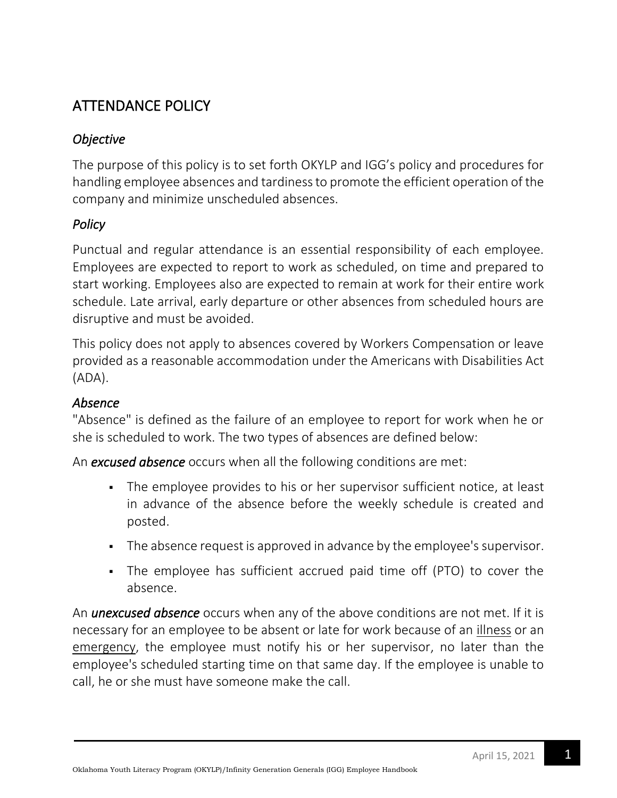# ATTENDANCE POLICY

## *Objective*

The purpose of this policy is to set forth OKYLP and IGG's policy and procedures for handling employee absences and tardiness to promote the efficient operation of the company and minimize unscheduled absences.

## *Policy*

Punctual and regular attendance is an essential responsibility of each employee. Employees are expected to report to work as scheduled, on time and prepared to start working. Employees also are expected to remain at work for their entire work schedule. Late arrival, early departure or other absences from scheduled hours are disruptive and must be avoided.

This policy does not apply to absences covered by Workers Compensation or leave provided as a reasonable accommodation under the Americans with Disabilities Act (ADA).

## *Absence*

"Absence" is defined as the failure of an employee to report for work when he or she is scheduled to work. The two types of absences are defined below:

An *excused absence* occurs when all the following conditions are met:

- **The employee provides to his or her supervisor sufficient notice, at least** in advance of the absence before the weekly schedule is created and posted.
- **•** The absence request is approved in advance by the employee's supervisor.
- The employee has sufficient accrued paid time off (PTO) to cover the absence.

An *unexcused absence* occurs when any of the above conditions are not met. If it is necessary for an employee to be absent or late for work because of an illness or an emergency, the employee must notify his or her supervisor, no later than the employee's scheduled starting time on that same day. If the employee is unable to call, he or she must have someone make the call.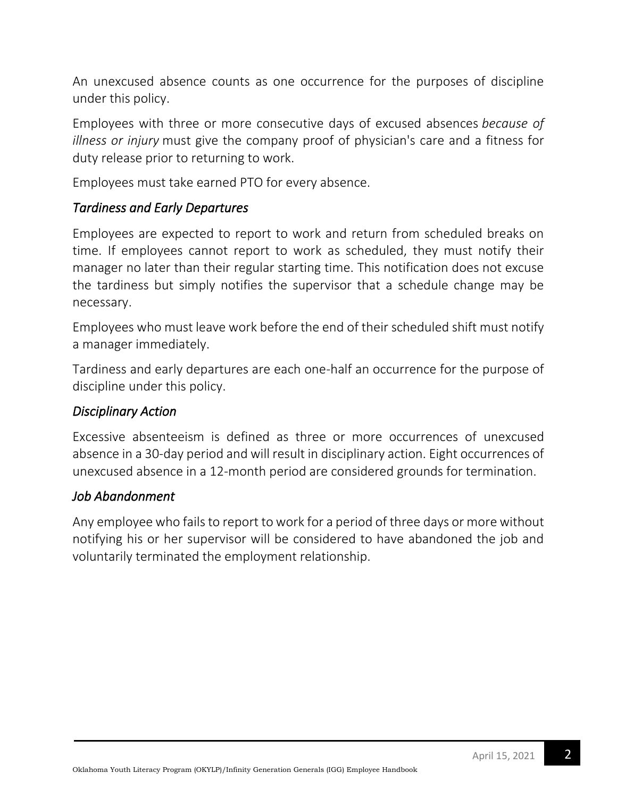An unexcused absence counts as one occurrence for the purposes of discipline under this policy.

Employees with three or more consecutive days of excused absences *because of illness or injury* must give the company proof of physician's care and a fitness for duty release prior to returning to work.

Employees must take earned PTO for every absence.

### *Tardiness and Early Departures*

Employees are expected to report to work and return from scheduled breaks on time. If employees cannot report to work as scheduled, they must notify their manager no later than their regular starting time. This notification does not excuse the tardiness but simply notifies the supervisor that a schedule change may be necessary.

Employees who must leave work before the end of their scheduled shift must notify a manager immediately.

Tardiness and early departures are each one-half an occurrence for the purpose of discipline under this policy.

### *Disciplinary Action*

Excessive absenteeism is defined as three or more occurrences of unexcused absence in a 30-day period and will result in disciplinary action. Eight occurrences of unexcused absence in a 12-month period are considered grounds for termination.

### *Job Abandonment*

Any employee who fails to report to work for a period of three days or more without notifying his or her supervisor will be considered to have abandoned the job and voluntarily terminated the employment relationship.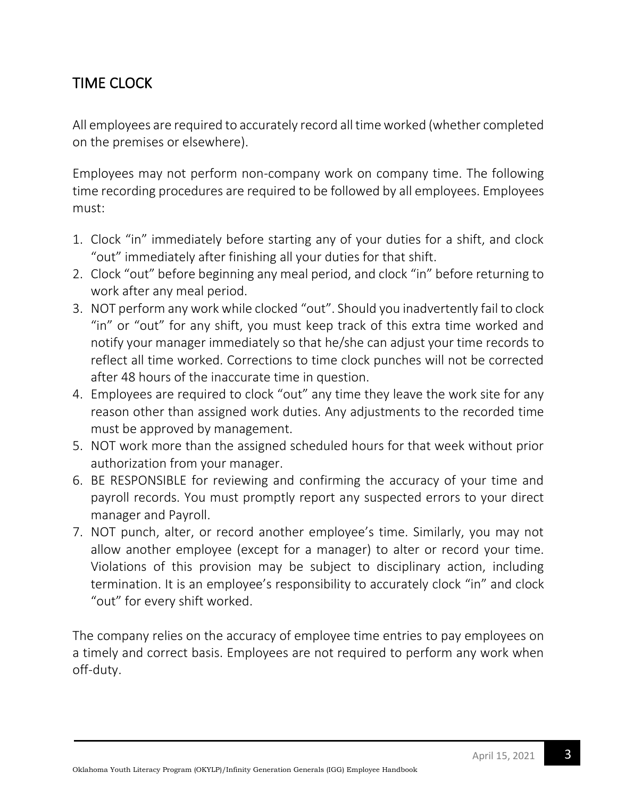# TIME CLOCK

All employees are required to accurately record all time worked (whether completed on the premises or elsewhere).

Employees may not perform non-company work on company time. The following time recording procedures are required to be followed by all employees. Employees must:

- 1. Clock "in" immediately before starting any of your duties for a shift, and clock "out" immediately after finishing all your duties for that shift.
- 2. Clock "out" before beginning any meal period, and clock "in" before returning to work after any meal period.
- 3. NOT perform any work while clocked "out". Should you inadvertently fail to clock "in" or "out" for any shift, you must keep track of this extra time worked and notify your manager immediately so that he/she can adjust your time records to reflect all time worked. Corrections to time clock punches will not be corrected after 48 hours of the inaccurate time in question.
- 4. Employees are required to clock "out" any time they leave the work site for any reason other than assigned work duties. Any adjustments to the recorded time must be approved by management.
- 5. NOT work more than the assigned scheduled hours for that week without prior authorization from your manager.
- 6. BE RESPONSIBLE for reviewing and confirming the accuracy of your time and payroll records. You must promptly report any suspected errors to your direct manager and Payroll.
- 7. NOT punch, alter, or record another employee's time. Similarly, you may not allow another employee (except for a manager) to alter or record your time. Violations of this provision may be subject to disciplinary action, including termination. It is an employee's responsibility to accurately clock "in" and clock "out" for every shift worked.

The company relies on the accuracy of employee time entries to pay employees on a timely and correct basis. Employees are not required to perform any work when off-duty.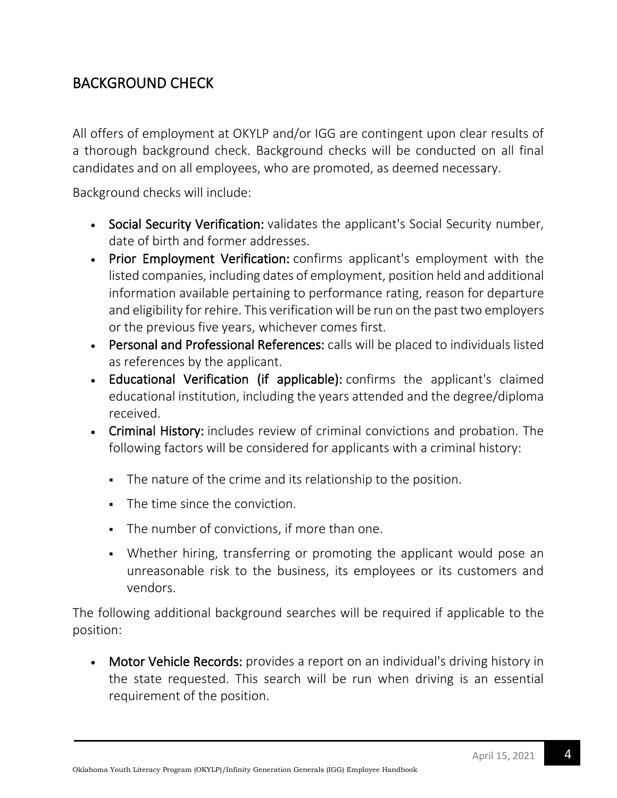## BACKGROUND CHECK

All offers of employment at OKYLP and/or IGG are contingent upon clear results of a thorough background check. Background checks will be conducted on all final candidates and on all employees, who are promoted, as deemed necessary.

Background checks will include:

- Social Security Verification: validates the applicant's Social Security number, date of birth and former addresses.
- Prior Employment Verification: confirms applicant's employment with the listed companies, including dates of employment, position held and additional information available pertaining to performance rating, reason for departure and eligibility for rehire. This verification will be run on the past two employers or the previous five years, whichever comes first.
- Personal and Professional References: calls will be placed to individuals listed as references by the applicant.
- Educational Verification (if applicable): confirms the applicant's claimed educational institution, including the years attended and the degree/diploma received.
- Criminal History: includes review of criminal convictions and probation. The following factors will be considered for applicants with a criminal history:
	- The nature of the crime and its relationship to the position.
	- **•** The time since the conviction.
	- **•** The number of convictions, if more than one.
	- Whether hiring, transferring or promoting the applicant would pose an unreasonable risk to the business, its employees or its customers and vendors.

The following additional background searches will be required if applicable to the position:

• Motor Vehicle Records: provides a report on an individual's driving history in the state requested. This search will be run when driving is an essential requirement of the position.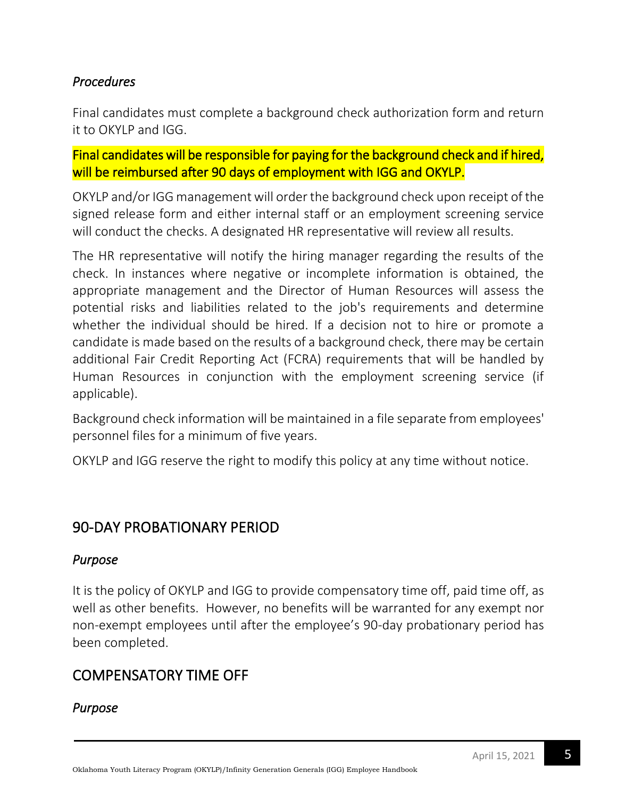## *Procedures*

Final candidates must complete a background check authorization form and return it to OKYLP and IGG.

Final candidates will be responsible for paying for the background check and if hired, will be reimbursed after 90 days of employment with IGG and OKYLP.

OKYLP and/or IGG management will order the background check upon receipt of the signed release form and either internal staff or an employment screening service will conduct the checks. A designated HR representative will review all results.

The HR representative will notify the hiring manager regarding the results of the check. In instances where negative or incomplete information is obtained, the appropriate management and the Director of Human Resources will assess the potential risks and liabilities related to the job's requirements and determine whether the individual should be hired. If a decision not to hire or promote a candidate is made based on the results of a background check, there may be certain additional Fair Credit Reporting Act (FCRA) requirements that will be handled by Human Resources in conjunction with the employment screening service (if applicable).

Background check information will be maintained in a file separate from employees' personnel files for a minimum of five years.

OKYLP and IGG reserve the right to modify this policy at any time without notice.

## 90-DAY PROBATIONARY PERIOD

## *Purpose*

It is the policy of OKYLP and IGG to provide compensatory time off, paid time off, as well as other benefits. However, no benefits will be warranted for any exempt nor non-exempt employees until after the employee's 90-day probationary period has been completed.

## COMPENSATORY TIME OFF

## *Purpose*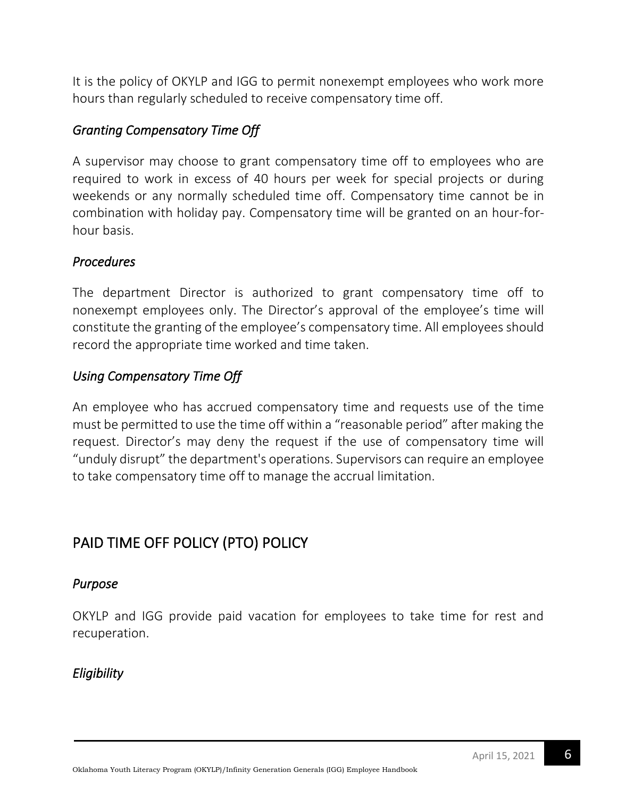It is the policy of OKYLP and IGG to permit nonexempt employees who work more hours than regularly scheduled to receive compensatory time off.

## *Granting Compensatory Time Off*

A supervisor may choose to grant compensatory time off to employees who are required to work in excess of 40 hours per week for special projects or during weekends or any normally scheduled time off. Compensatory time cannot be in combination with holiday pay. Compensatory time will be granted on an hour-forhour basis.

## *Procedures*

The department Director is authorized to grant compensatory time off to nonexempt employees only. The Director's approval of the employee's time will constitute the granting of the employee's compensatory time. All employees should record the appropriate time worked and time taken.

## *Using Compensatory Time Off*

An employee who has accrued compensatory time and requests use of the time must be permitted to use the time off within a "reasonable period" after making the request. Director's may deny the request if the use of compensatory time will "unduly disrupt" the department's operations. Supervisors can require an employee to take compensatory time off to manage the accrual limitation.

# PAID TIME OFF POLICY (PTO) POLICY

## *Purpose*

OKYLP and IGG provide paid vacation for employees to take time for rest and recuperation.

## *Eligibility*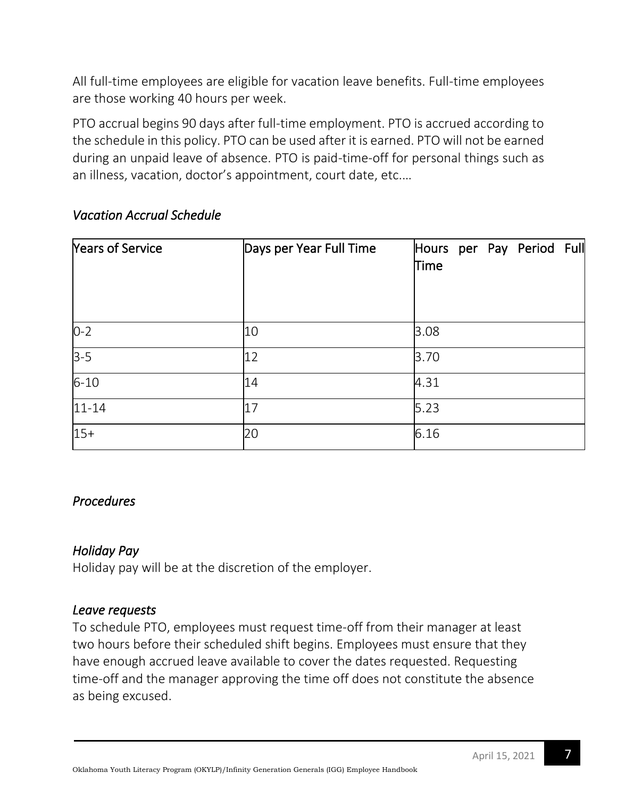All full-time employees are eligible for vacation leave benefits. Full-time employees are those working 40 hours per week.

PTO accrual begins 90 days after full-time employment. PTO is accrued according to the schedule in this policy. PTO can be used after it is earned. PTO will not be earned during an unpaid leave of absence. PTO is paid-time-off for personal things such as an illness, vacation, doctor's appointment, court date, etc.…

| Years of Service | Days per Year Full Time | Hours per Pay Period Full<br>Time |
|------------------|-------------------------|-----------------------------------|
| $0 - 2$          | 10                      | 3.08                              |
| $3 - 5$          | 12                      | 3.70                              |
| $6 - 10$         | 14                      | 4.31                              |
| $11 - 14$        | 17                      | 5.23                              |
| $15+$            | 20                      | 6.16                              |

### *Vacation Accrual Schedule*

### *Procedures*

### *Holiday Pay*

Holiday pay will be at the discretion of the employer.

### *Leave requests*

To schedule PTO, employees must request time-off from their manager at least two hours before their scheduled shift begins. Employees must ensure that they have enough accrued leave available to cover the dates requested. Requesting time-off and the manager approving the time off does not constitute the absence as being excused.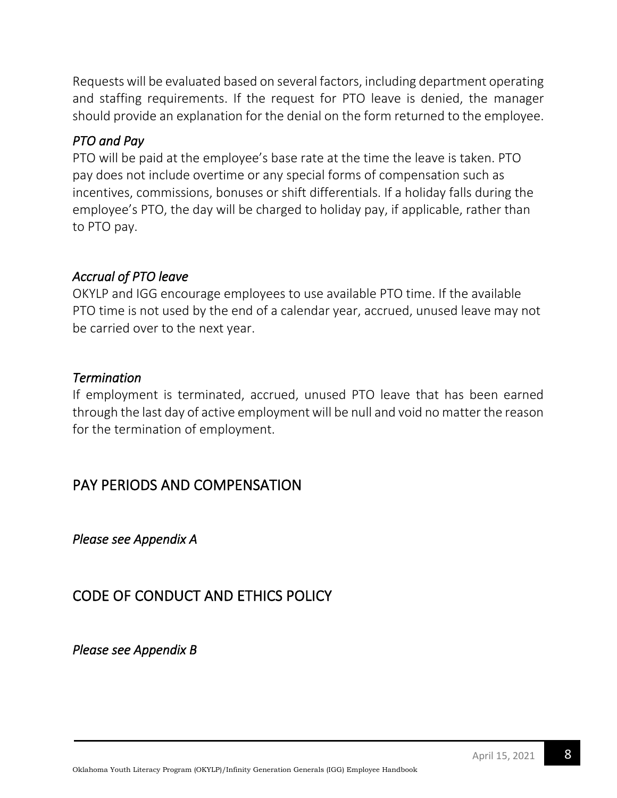Requests will be evaluated based on several factors, including department operating and staffing requirements. If the request for PTO leave is denied, the manager should provide an explanation for the denial on the form returned to the employee.

### *PTO and Pay*

PTO will be paid at the employee's base rate at the time the leave is taken. PTO pay does not include overtime or any special forms of compensation such as incentives, commissions, bonuses or shift differentials. If a holiday falls during the employee's PTO, the day will be charged to holiday pay, if applicable, rather than to PTO pay.

### *Accrual of PTO leave*

OKYLP and IGG encourage employees to use available PTO time. If the available PTO time is not used by the end of a calendar year, accrued, unused leave may not be carried over to the next year.

### *Termination*

If employment is terminated, accrued, unused PTO leave that has been earned through the last day of active employment will be null and void no matter the reason for the termination of employment.

## PAY PERIODS AND COMPENSATION

*Please see Appendix A* 

## CODE OF CONDUCT AND ETHICS POLICY

*Please see Appendix B*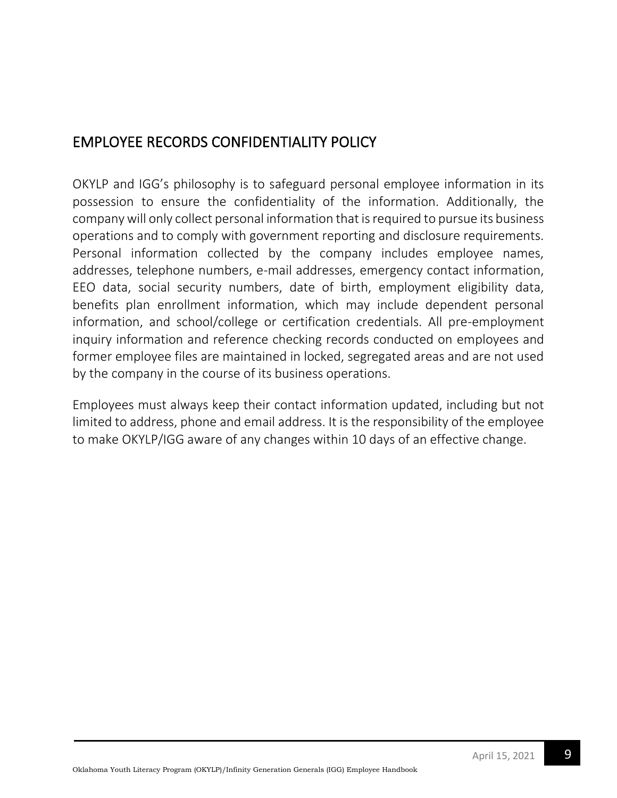# EMPLOYEE RECORDS CONFIDENTIALITY POLICY

OKYLP and IGG's philosophy is to safeguard personal employee information in its possession to ensure the confidentiality of the information. Additionally, the company will only collect personal information that is required to pursue its business operations and to comply with government reporting and disclosure requirements. Personal information collected by the company includes employee names, addresses, telephone numbers, e-mail addresses, emergency contact information, EEO data, social security numbers, date of birth, employment eligibility data, benefits plan enrollment information, which may include dependent personal information, and school/college or certification credentials. All pre-employment inquiry information and reference checking records conducted on employees and former employee files are maintained in locked, segregated areas and are not used by the company in the course of its business operations.

Employees must always keep their contact information updated, including but not limited to address, phone and email address. It is the responsibility of the employee to make OKYLP/IGG aware of any changes within 10 days of an effective change.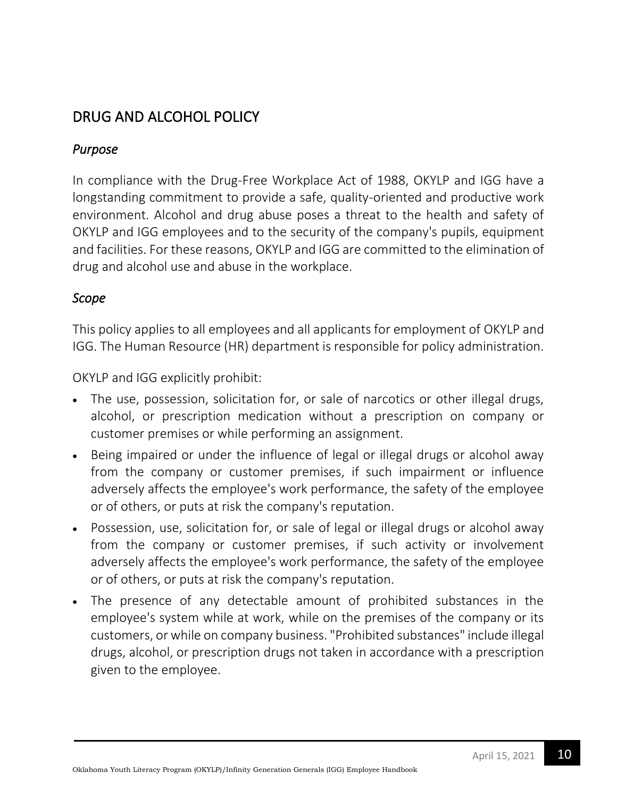## DRUG AND ALCOHOL POLICY

### *Purpose*

In compliance with the Drug-Free Workplace Act of 1988, OKYLP and IGG have a longstanding commitment to provide a safe, quality-oriented and productive work environment. Alcohol and drug abuse poses a threat to the health and safety of OKYLP and IGG employees and to the security of the company's pupils, equipment and facilities. For these reasons, OKYLP and IGG are committed to the elimination of drug and alcohol use and abuse in the workplace.

### *Scope*

This policy applies to all employees and all applicants for employment of OKYLP and IGG. The Human Resource (HR) department is responsible for policy administration.

OKYLP and IGG explicitly prohibit:

- The use, possession, solicitation for, or sale of narcotics or other illegal drugs, alcohol, or prescription medication without a prescription on company or customer premises or while performing an assignment.
- Being impaired or under the influence of legal or illegal drugs or alcohol away from the company or customer premises, if such impairment or influence adversely affects the employee's work performance, the safety of the employee or of others, or puts at risk the company's reputation.
- Possession, use, solicitation for, or sale of legal or illegal drugs or alcohol away from the company or customer premises, if such activity or involvement adversely affects the employee's work performance, the safety of the employee or of others, or puts at risk the company's reputation.
- The presence of any detectable amount of prohibited substances in the employee's system while at work, while on the premises of the company or its customers, or while on company business. "Prohibited substances" include illegal drugs, alcohol, or prescription drugs not taken in accordance with a prescription given to the employee.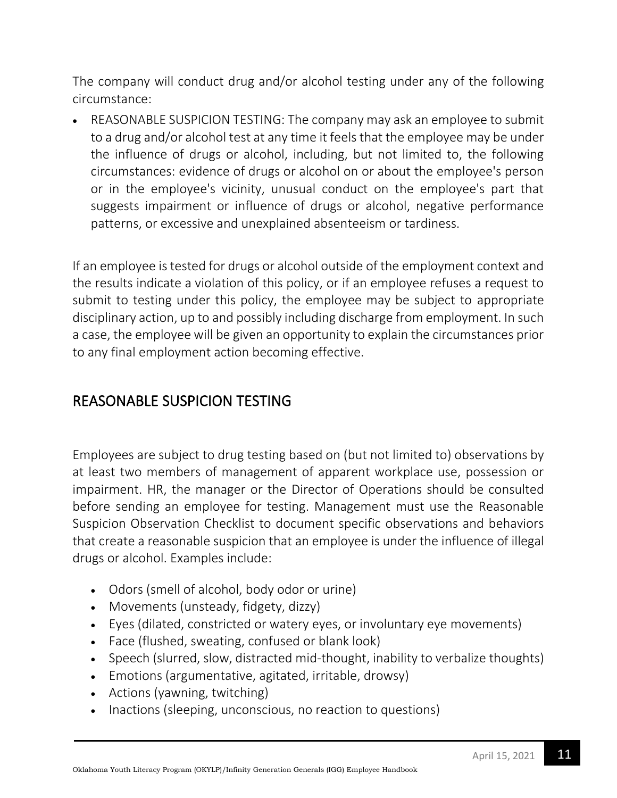The company will conduct drug and/or alcohol testing under any of the following circumstance:

• REASONABLE SUSPICION TESTING: The company may ask an employee to submit to a drug and/or alcohol test at any time it feels that the employee may be under the influence of drugs or alcohol, including, but not limited to, the following circumstances: evidence of drugs or alcohol on or about the employee's person or in the employee's vicinity, unusual conduct on the employee's part that suggests impairment or influence of drugs or alcohol, negative performance patterns, or excessive and unexplained absenteeism or tardiness.

If an employee is tested for drugs or alcohol outside of the employment context and the results indicate a violation of this policy, or if an employee refuses a request to submit to testing under this policy, the employee may be subject to appropriate disciplinary action, up to and possibly including discharge from employment. In such a case, the employee will be given an opportunity to explain the circumstances prior to any final employment action becoming effective.

## REASONABLE SUSPICION TESTING

Employees are subject to drug testing based on (but not limited to) observations by at least two members of management of apparent workplace use, possession or impairment. HR, the manager or the Director of Operations should be consulted before sending an employee for testing. Management must use the Reasonable Suspicion Observation Checklist to document specific observations and behaviors that create a reasonable suspicion that an employee is under the influence of illegal drugs or alcohol. Examples include:

- Odors (smell of alcohol, body odor or urine)
- Movements (unsteady, fidgety, dizzy)
- Eyes (dilated, constricted or watery eyes, or involuntary eye movements)
- Face (flushed, sweating, confused or blank look)
- Speech (slurred, slow, distracted mid-thought, inability to verbalize thoughts)
- Emotions (argumentative, agitated, irritable, drowsy)
- Actions (yawning, twitching)
- Inactions (sleeping, unconscious, no reaction to questions)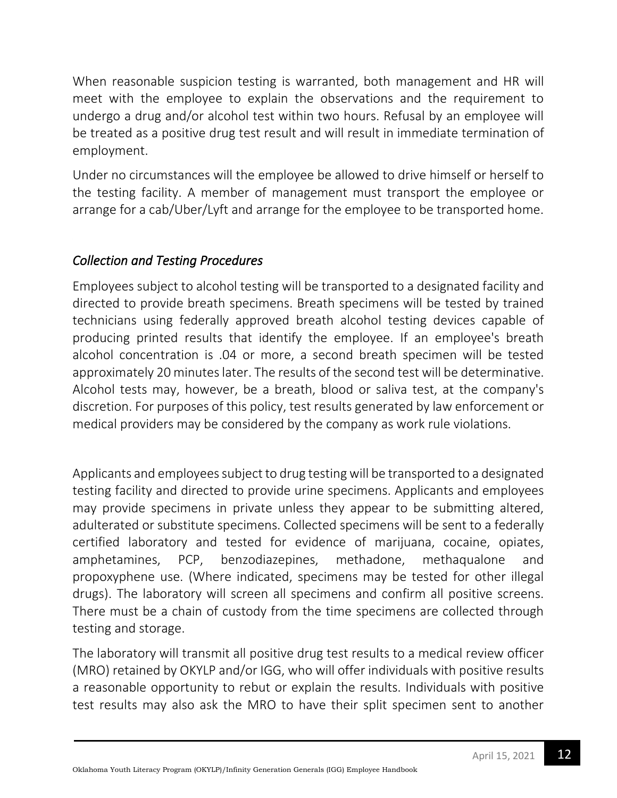When reasonable suspicion testing is warranted, both management and HR will meet with the employee to explain the observations and the requirement to undergo a drug and/or alcohol test within two hours. Refusal by an employee will be treated as a positive drug test result and will result in immediate termination of employment.

Under no circumstances will the employee be allowed to drive himself or herself to the testing facility. A member of management must transport the employee or arrange for a cab/Uber/Lyft and arrange for the employee to be transported home.

## *Collection and Testing Procedures*

Employees subject to alcohol testing will be transported to a designated facility and directed to provide breath specimens. Breath specimens will be tested by trained technicians using federally approved breath alcohol testing devices capable of producing printed results that identify the employee. If an employee's breath alcohol concentration is .04 or more, a second breath specimen will be tested approximately 20 minutes later. The results of the second test will be determinative. Alcohol tests may, however, be a breath, blood or saliva test, at the company's discretion. For purposes of this policy, test results generated by law enforcement or medical providers may be considered by the company as work rule violations.

Applicants and employees subject to drug testing will be transported to a designated testing facility and directed to provide urine specimens. Applicants and employees may provide specimens in private unless they appear to be submitting altered, adulterated or substitute specimens. Collected specimens will be sent to a federally certified laboratory and tested for evidence of marijuana, cocaine, opiates, amphetamines, PCP, benzodiazepines, methadone, methaqualone and propoxyphene use. (Where indicated, specimens may be tested for other illegal drugs). The laboratory will screen all specimens and confirm all positive screens. There must be a chain of custody from the time specimens are collected through testing and storage.

The laboratory will transmit all positive drug test results to a medical review officer (MRO) retained by OKYLP and/or IGG, who will offer individuals with positive results a reasonable opportunity to rebut or explain the results. Individuals with positive test results may also ask the MRO to have their split specimen sent to another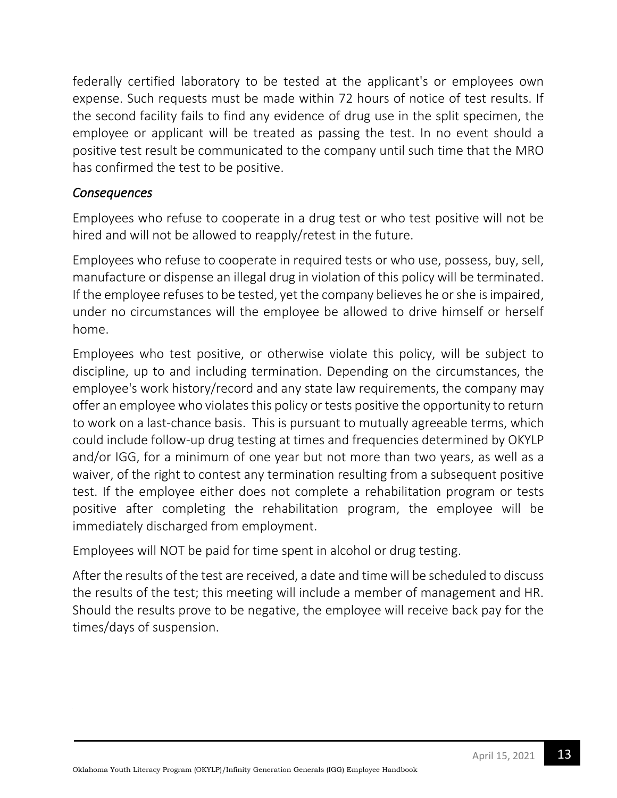federally certified laboratory to be tested at the applicant's or employees own expense. Such requests must be made within 72 hours of notice of test results. If the second facility fails to find any evidence of drug use in the split specimen, the employee or applicant will be treated as passing the test. In no event should a positive test result be communicated to the company until such time that the MRO has confirmed the test to be positive.

### *Consequences*

Employees who refuse to cooperate in a drug test or who test positive will not be hired and will not be allowed to reapply/retest in the future.

Employees who refuse to cooperate in required tests or who use, possess, buy, sell, manufacture or dispense an illegal drug in violation of this policy will be terminated. If the employee refuses to be tested, yet the company believes he or she is impaired, under no circumstances will the employee be allowed to drive himself or herself home.

Employees who test positive, or otherwise violate this policy, will be subject to discipline, up to and including termination. Depending on the circumstances, the employee's work history/record and any state law requirements, the company may offer an employee who violates this policy or tests positive the opportunity to return to work on a last-chance basis. This is pursuant to mutually agreeable terms, which could include follow-up drug testing at times and frequencies determined by OKYLP and/or IGG, for a minimum of one year but not more than two years, as well as a waiver, of the right to contest any termination resulting from a subsequent positive test. If the employee either does not complete a rehabilitation program or tests positive after completing the rehabilitation program, the employee will be immediately discharged from employment.

Employees will NOT be paid for time spent in alcohol or drug testing.

After the results of the test are received, a date and time will be scheduled to discuss the results of the test; this meeting will include a member of management and HR. Should the results prove to be negative, the employee will receive back pay for the times/days of suspension.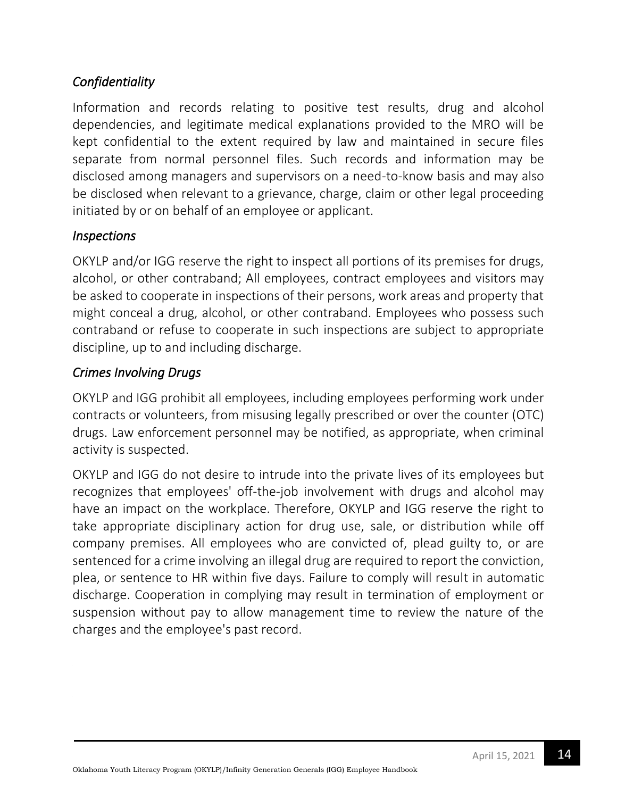## *Confidentiality*

Information and records relating to positive test results, drug and alcohol dependencies, and legitimate medical explanations provided to the MRO will be kept confidential to the extent required by law and maintained in secure files separate from normal personnel files. Such records and information may be disclosed among managers and supervisors on a need-to-know basis and may also be disclosed when relevant to a grievance, charge, claim or other legal proceeding initiated by or on behalf of an employee or applicant.

### *Inspections*

OKYLP and/or IGG reserve the right to inspect all portions of its premises for drugs, alcohol, or other contraband; All employees, contract employees and visitors may be asked to cooperate in inspections of their persons, work areas and property that might conceal a drug, alcohol, or other contraband. Employees who possess such contraband or refuse to cooperate in such inspections are subject to appropriate discipline, up to and including discharge.

### *Crimes Involving Drugs*

OKYLP and IGG prohibit all employees, including employees performing work under contracts or volunteers, from misusing legally prescribed or over the counter (OTC) drugs. Law enforcement personnel may be notified, as appropriate, when criminal activity is suspected.

OKYLP and IGG do not desire to intrude into the private lives of its employees but recognizes that employees' off-the-job involvement with drugs and alcohol may have an impact on the workplace. Therefore, OKYLP and IGG reserve the right to take appropriate disciplinary action for drug use, sale, or distribution while off company premises. All employees who are convicted of, plead guilty to, or are sentenced for a crime involving an illegal drug are required to report the conviction, plea, or sentence to HR within five days. Failure to comply will result in automatic discharge. Cooperation in complying may result in termination of employment or suspension without pay to allow management time to review the nature of the charges and the employee's past record.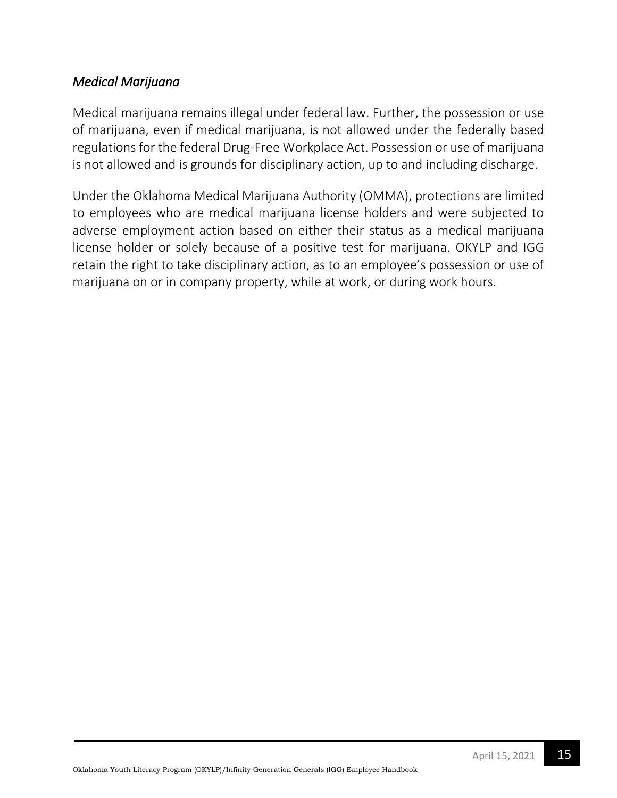### *Medical Marijuana*

Medical marijuana remains illegal under federal law. Further, the possession or use of marijuana, even if medical marijuana, is not allowed under the federally based regulations for the federal Drug-Free Workplace Act. Possession or use of marijuana is not allowed and is grounds for disciplinary action, up to and including discharge.

Under the Oklahoma Medical Marijuana Authority (OMMA), protections are limited to employees who are medical marijuana license holders and were subjected to adverse employment action based on either their status as a medical marijuana license holder or solely because of a positive test for marijuana. OKYLP and IGG retain the right to take disciplinary action, as to an employee's possession or use of marijuana on or in company property, while at work, or during work hours.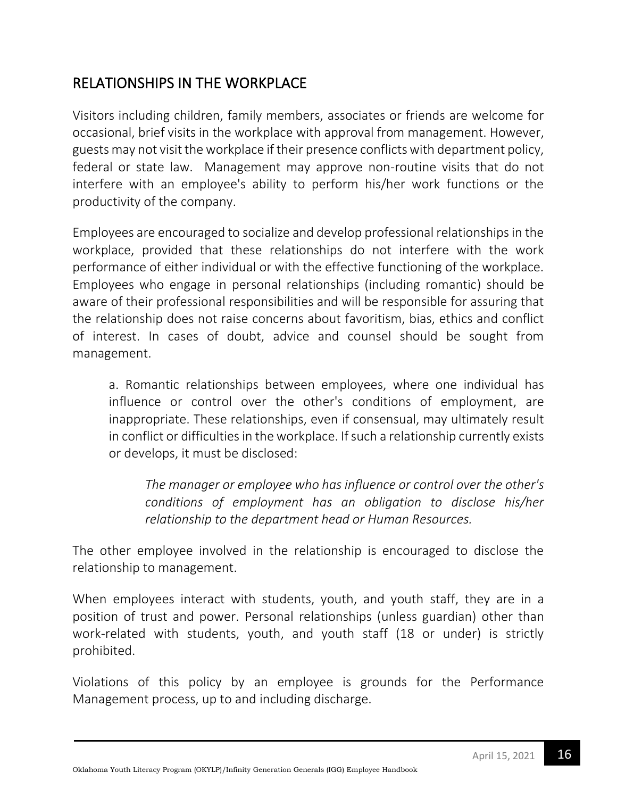# RELATIONSHIPS IN THE WORKPLACE

Visitors including children, family members, associates or friends are welcome for occasional, brief visits in the workplace with approval from management. However, guests may not visit the workplace if their presence conflicts with department policy, federal or state law. Management may approve non-routine visits that do not interfere with an employee's ability to perform his/her work functions or the productivity of the company.

Employees are encouraged to socialize and develop professional relationships in the workplace, provided that these relationships do not interfere with the work performance of either individual or with the effective functioning of the workplace. Employees who engage in personal relationships (including romantic) should be aware of their professional responsibilities and will be responsible for assuring that the relationship does not raise concerns about favoritism, bias, ethics and conflict of interest. In cases of doubt, advice and counsel should be sought from management.

a. Romantic relationships between employees, where one individual has influence or control over the other's conditions of employment, are inappropriate. These relationships, even if consensual, may ultimately result in conflict or difficulties in the workplace. If such a relationship currently exists or develops, it must be disclosed:

*The manager or employee who has influence or control over the other's conditions of employment has an obligation to disclose his/her relationship to the department head or Human Resources.*

The other employee involved in the relationship is encouraged to disclose the relationship to management.

When employees interact with students, youth, and youth staff, they are in a position of trust and power. Personal relationships (unless guardian) other than work-related with students, youth, and youth staff (18 or under) is strictly prohibited.

Violations of this policy by an employee is grounds for the Performance Management process, up to and including discharge.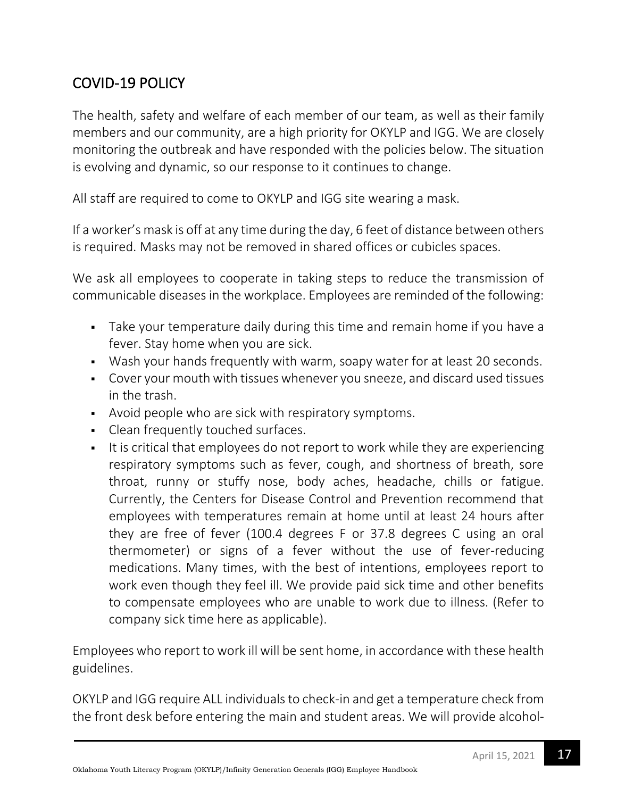# COVID-19 POLICY

The health, safety and welfare of each member of our team, as well as their family members and our community, are a high priority for OKYLP and IGG. We are closely monitoring the outbreak and have responded with the policies below. The situation is evolving and dynamic, so our response to it continues to change.

All staff are required to come to OKYLP and IGG site wearing a mask.

If a worker's mask is off at any time during the day, 6 feet of distance between others is required. Masks may not be removed in shared offices or cubicles spaces.

We ask all employees to cooperate in taking steps to reduce the transmission of communicable diseases in the workplace. Employees are reminded of the following:

- Take your temperature daily during this time and remain home if you have a fever. Stay home when you are sick.
- Wash your hands frequently with warm, soapy water for at least 20 seconds.
- Cover your mouth with tissues whenever you sneeze, and discard used tissues in the trash.
- Avoid people who are sick with respiratory symptoms.
- Clean frequently touched surfaces.
- It is critical that employees do not report to work while they are experiencing respiratory symptoms such as fever, cough, and shortness of breath, sore throat, runny or stuffy nose, body aches, headache, chills or fatigue. Currently, the Centers for Disease Control and Prevention recommend that employees with temperatures remain at home until at least 24 hours after they are free of fever (100.4 degrees F or 37.8 degrees C using an oral thermometer) or signs of a fever without the use of fever-reducing medications. Many times, with the best of intentions, employees report to work even though they feel ill. We provide paid sick time and other benefits to compensate employees who are unable to work due to illness. (Refer to company sick time here as applicable).

Employees who report to work ill will be sent home, in accordance with these health guidelines.

OKYLP and IGG require ALL individuals to check-in and get a temperature check from the front desk before entering the main and student areas. We will provide alcohol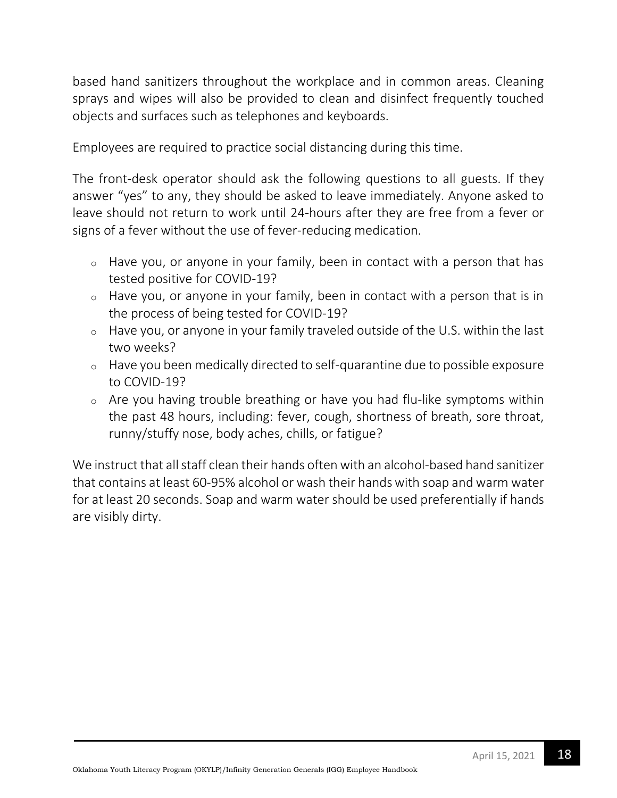based hand sanitizers throughout the workplace and in common areas. Cleaning sprays and wipes will also be provided to clean and disinfect frequently touched objects and surfaces such as telephones and keyboards.

Employees are required to practice social distancing during this time.

The front-desk operator should ask the following questions to all guests. If they answer "yes" to any, they should be asked to leave immediately. Anyone asked to leave should not return to work until 24-hours after they are free from a fever or signs of a fever without the use of fever-reducing medication.

- o Have you, or anyone in your family, been in contact with a person that has tested positive for COVID-19?
- o Have you, or anyone in your family, been in contact with a person that is in the process of being tested for COVID-19?
- o Have you, or anyone in your family traveled outside of the U.S. within the last two weeks?
- o Have you been medically directed to self-quarantine due to possible exposure to COVID-19?
- o Are you having trouble breathing or have you had flu-like symptoms within the past 48 hours, including: fever, cough, shortness of breath, sore throat, runny/stuffy nose, body aches, chills, or fatigue?

We instruct that all staff clean their hands often with an alcohol-based hand sanitizer that contains at least 60-95% alcohol or wash their hands with soap and warm water for at least 20 seconds. Soap and warm water should be used preferentially if hands are visibly dirty.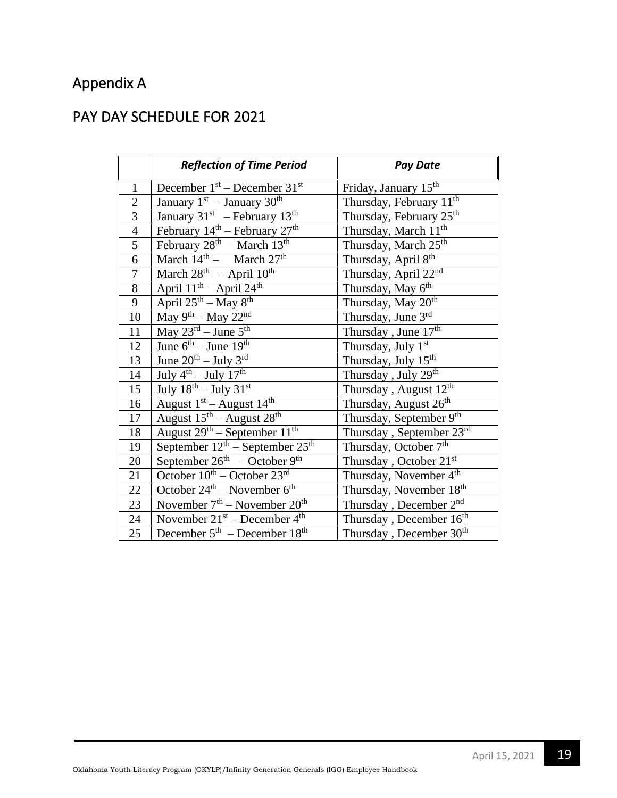# Appendix A

## PAY DAY SCHEDULE FOR 2021

|                  | <b>Reflection of Time Period</b>                      | <b>Pay Date</b>                     |
|------------------|-------------------------------------------------------|-------------------------------------|
| $\mathbf{1}$     | December $1st$ – December $31st$                      | Friday, January 15 <sup>th</sup>    |
| $\overline{2}$   | January $1st$ – January 30 <sup>th</sup>              | Thursday, February 11 <sup>th</sup> |
| 3                | January 31 <sup>st</sup> - February 13 <sup>th</sup>  | Thursday, February 25th             |
| $\overline{4}$   | February 14 <sup>th</sup> – February 27 <sup>th</sup> | Thursday, March 11 <sup>th</sup>    |
| 5                | February $28^{\text{th}}$ - March $13^{\text{th}}$    | Thursday, March 25 <sup>th</sup>    |
| 6                | March $14^{\text{th}}$ - March $27^{\text{th}}$       | Thursday, April 8th                 |
| $\boldsymbol{7}$ | March $28^{\text{th}}$ - April $10^{\text{th}}$       | Thursday, April 22 <sup>nd</sup>    |
| $8\,$            | April $11^{th}$ – April $24^{th}$                     | Thursday, May 6th                   |
| 9                | April $25^{th}$ – May $8^{th}$                        | Thursday, May 20 <sup>th</sup>      |
| 10               | May $9^{th}$ – May $22^{nd}$                          | Thursday, June 3rd                  |
| 11               | May $23^{\text{rd}}$ – June $5^{\text{th}}$           | Thursday, June 17th                 |
| 12               | June $6^{th}$ – June 19 <sup>th</sup>                 | Thursday, July 1st                  |
| 13               | June $20^{th}$ – July $3^{rd}$                        | Thursday, July 15 <sup>th</sup>     |
| 14               | July $4^{\text{th}}$ – July $17^{\text{th}}$          | Thursday, July 29th                 |
| 15               | July $18^{th}$ – July $31^{st}$                       | Thursday, August 12 <sup>th</sup>   |
| 16               | August $1st$ – August $14th$                          | Thursday, August 26th               |
| 17               | August $15^{\text{th}}$ – August $28^{\text{th}}$     | Thursday, September 9th             |
| 18               | August $29th$ – September $11th$                      | Thursday, September 23rd            |
| 19               | September $12^{th}$ – September $25^{th}$             | Thursday, October 7th               |
| 20               | September $26th - October 9th$                        | Thursday, October 21st              |
| 21               | October $10^{th}$ – October $23^{rd}$                 | Thursday, November 4th              |
| $22\,$           | October $24^{\text{th}}$ – November $6^{\text{th}}$   | Thursday, November 18th             |
| $23\,$           | November $7th$ – November $20th$                      | Thursday, December 2 <sup>nd</sup>  |
| 24               | November $21^{st}$ – December $4^{th}$                | Thursday, December 16 <sup>th</sup> |
| 25               | December $5th$ – December 18 <sup>th</sup>            | Thursday, December 30 <sup>th</sup> |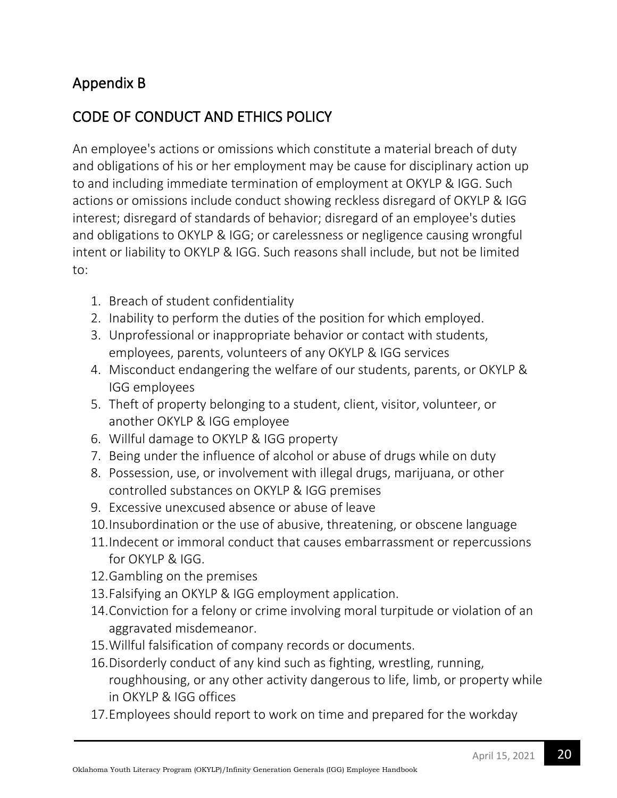# Appendix B

# CODE OF CONDUCT AND ETHICS POLICY

An employee's actions or omissions which constitute a material breach of duty and obligations of his or her employment may be cause for disciplinary action up to and including immediate termination of employment at OKYLP & IGG. Such actions or omissions include conduct showing reckless disregard of OKYLP & IGG interest; disregard of standards of behavior; disregard of an employee's duties and obligations to OKYLP & IGG; or carelessness or negligence causing wrongful intent or liability to OKYLP & IGG. Such reasons shall include, but not be limited to:

- 1. Breach of student confidentiality
- 2. Inability to perform the duties of the position for which employed.
- 3. Unprofessional or inappropriate behavior or contact with students, employees, parents, volunteers of any OKYLP & IGG services
- 4. Misconduct endangering the welfare of our students, parents, or OKYLP & IGG employees
- 5. Theft of property belonging to a student, client, visitor, volunteer, or another OKYLP & IGG employee
- 6. Willful damage to OKYLP & IGG property
- 7. Being under the influence of alcohol or abuse of drugs while on duty
- 8. Possession, use, or involvement with illegal drugs, marijuana, or other controlled substances on OKYLP & IGG premises
- 9. Excessive unexcused absence or abuse of leave
- 10.Insubordination or the use of abusive, threatening, or obscene language
- 11.Indecent or immoral conduct that causes embarrassment or repercussions for OKYLP & IGG.
- 12.Gambling on the premises
- 13.Falsifying an OKYLP & IGG employment application.
- 14.Conviction for a felony or crime involving moral turpitude or violation of an aggravated misdemeanor.
- 15.Willful falsification of company records or documents.
- 16.Disorderly conduct of any kind such as fighting, wrestling, running, roughhousing, or any other activity dangerous to life, limb, or property while in OKYLP & IGG offices
- 17.Employees should report to work on time and prepared for the workday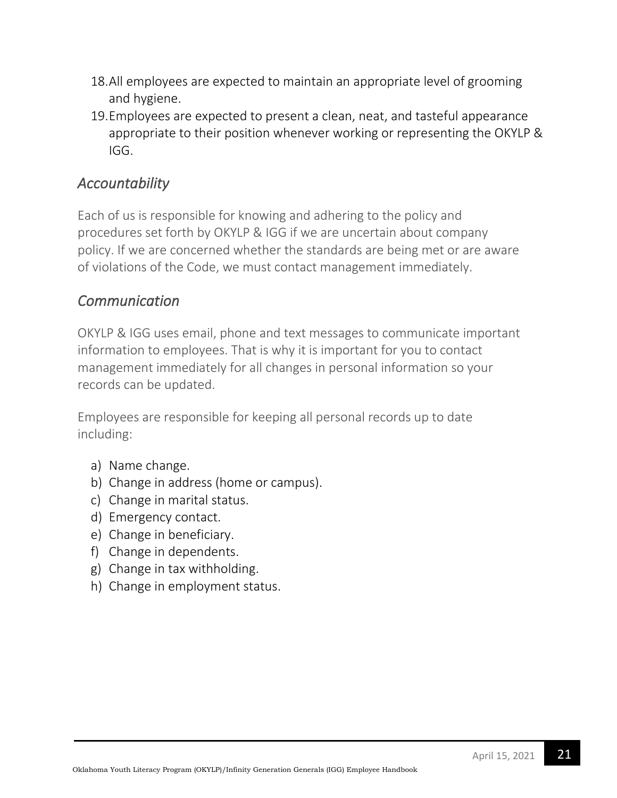- 18.All employees are expected to maintain an appropriate level of grooming and hygiene.
- 19.Employees are expected to present a clean, neat, and tasteful appearance appropriate to their position whenever working or representing the OKYLP & IGG.

## *Accountability*

Each of us is responsible for knowing and adhering to the policy and procedures set forth by OKYLP & IGG if we are uncertain about company policy. If we are concerned whether the standards are being met or are aware of violations of the Code, we must contact management immediately.

## *Communication*

OKYLP & IGG uses email, phone and text messages to communicate important information to employees. That is why it is important for you to contact management immediately for all changes in personal information so your records can be updated.

Employees are responsible for keeping all personal records up to date including:

- a) Name change.
- b) Change in address (home or campus).
- c) Change in marital status.
- d) Emergency contact.
- e) Change in beneficiary.
- f) Change in dependents.
- g) Change in tax withholding.
- h) Change in employment status.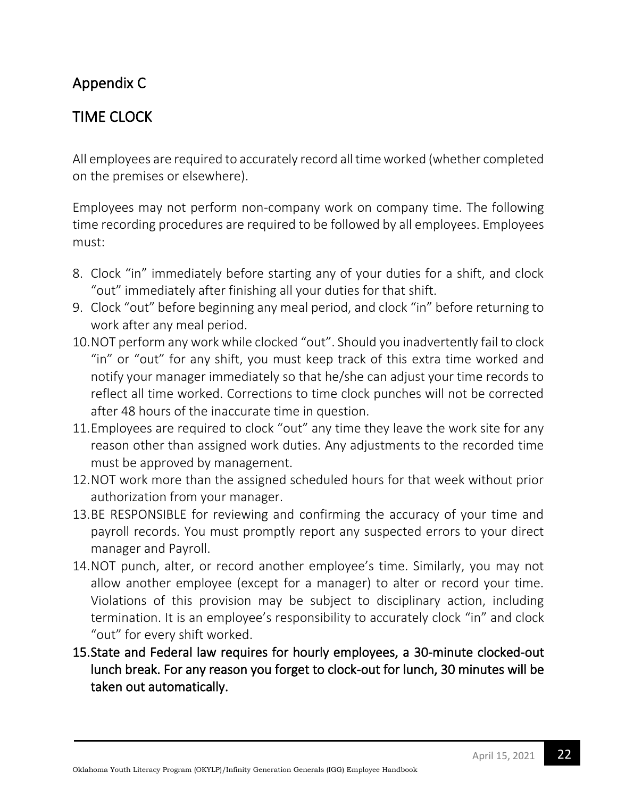# Appendix C

# TIME CLOCK

All employees are required to accurately record all time worked (whether completed on the premises or elsewhere).

Employees may not perform non-company work on company time. The following time recording procedures are required to be followed by all employees. Employees must:

- 8. Clock "in" immediately before starting any of your duties for a shift, and clock "out" immediately after finishing all your duties for that shift.
- 9. Clock "out" before beginning any meal period, and clock "in" before returning to work after any meal period.
- 10.NOT perform any work while clocked "out". Should you inadvertently fail to clock "in" or "out" for any shift, you must keep track of this extra time worked and notify your manager immediately so that he/she can adjust your time records to reflect all time worked. Corrections to time clock punches will not be corrected after 48 hours of the inaccurate time in question.
- 11.Employees are required to clock "out" any time they leave the work site for any reason other than assigned work duties. Any adjustments to the recorded time must be approved by management.
- 12.NOT work more than the assigned scheduled hours for that week without prior authorization from your manager.
- 13.BE RESPONSIBLE for reviewing and confirming the accuracy of your time and payroll records. You must promptly report any suspected errors to your direct manager and Payroll.
- 14.NOT punch, alter, or record another employee's time. Similarly, you may not allow another employee (except for a manager) to alter or record your time. Violations of this provision may be subject to disciplinary action, including termination. It is an employee's responsibility to accurately clock "in" and clock "out" for every shift worked.
- 15.State and Federal law requires for hourly employees, a 30-minute clocked-out lunch break. For any reason you forget to clock-out for lunch, 30 minutes will be taken out automatically.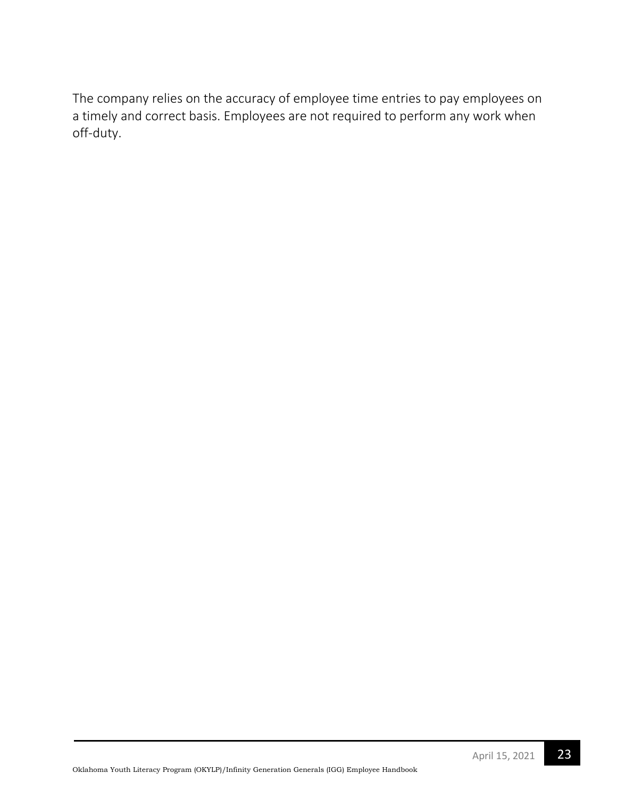The company relies on the accuracy of employee time entries to pay employees on a timely and correct basis. Employees are not required to perform any work when off-duty.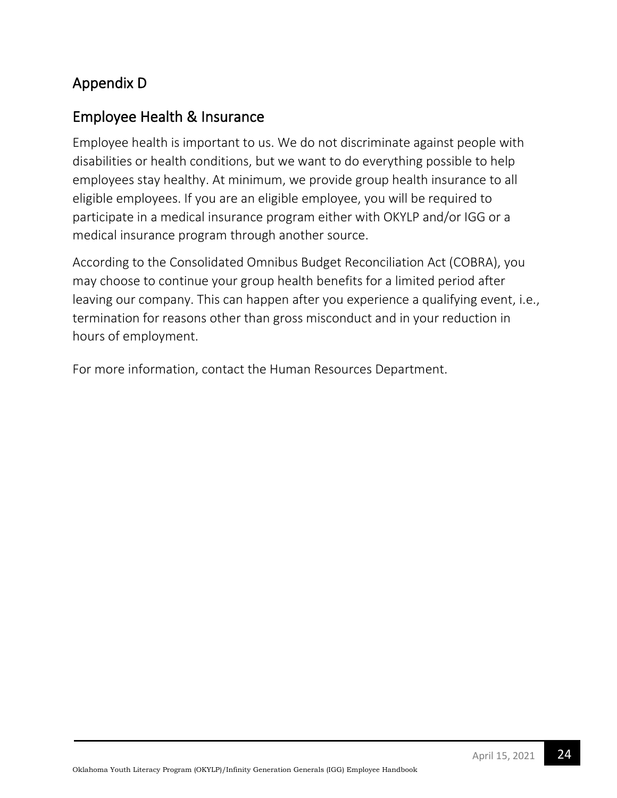# Appendix D

## Employee Health & Insurance

Employee health is important to us. We do not discriminate against people with disabilities or health conditions, but we want to do everything possible to help employees stay healthy. At minimum, we provide group health insurance to all eligible employees. If you are an eligible employee, you will be required to participate in a medical insurance program either with OKYLP and/or IGG or a medical insurance program through another source.

According to the Consolidated Omnibus Budget Reconciliation Act (COBRA), you may choose to continue your group health benefits for a limited period after leaving our company. This can happen after you experience a qualifying event, i.e., termination for reasons other than gross misconduct and in your reduction in hours of employment.

For more information, contact the Human Resources Department.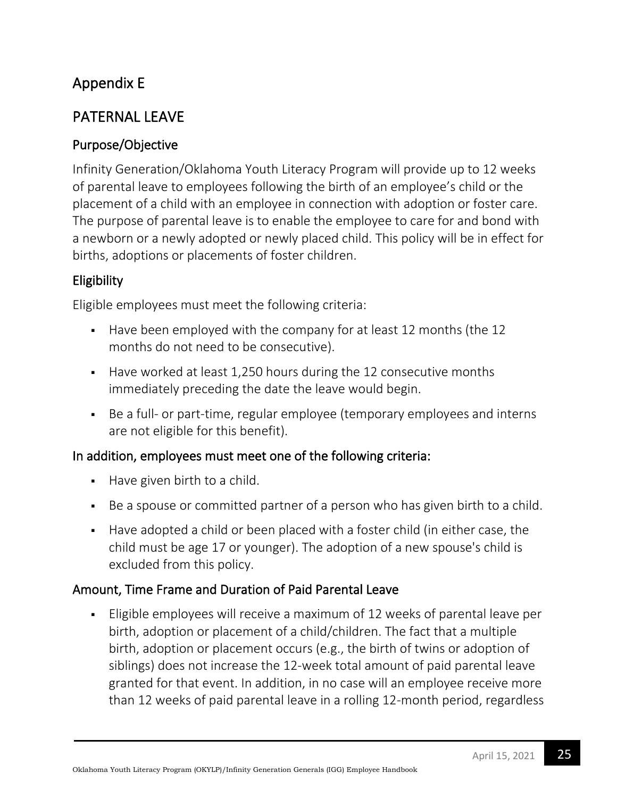# Appendix E

## PATERNAL LEAVE

## Purpose/Objective

Infinity Generation/Oklahoma Youth Literacy Program will provide up to 12 weeks of parental leave to employees following the birth of an employee's child or the placement of a child with an employee in connection with adoption or foster care. The purpose of parental leave is to enable the employee to care for and bond with a newborn or a newly adopted or newly placed child. This policy will be in effect for births, adoptions or placements of foster children.

## Eligibility

Eligible employees must meet the following criteria:

- Have been employed with the company for at least 12 months (the 12 months do not need to be consecutive).
- Have worked at least 1,250 hours during the 12 consecutive months immediately preceding the date the leave would begin.
- Be a full- or part-time, regular employee (temporary employees and interns are not eligible for this benefit).

## In addition, employees must meet one of the following criteria:

- Have given birth to a child.
- Be a spouse or committed partner of a person who has given birth to a child.
- **EXEL Have adopted a child or been placed with a foster child (in either case, the** child must be age 17 or younger). The adoption of a new spouse's child is excluded from this policy.

## Amount, Time Frame and Duration of Paid Parental Leave

■ Eligible employees will receive a maximum of 12 weeks of parental leave per birth, adoption or placement of a child/children. The fact that a multiple birth, adoption or placement occurs (e.g., the birth of twins or adoption of siblings) does not increase the 12-week total amount of paid parental leave granted for that event. In addition, in no case will an employee receive more than 12 weeks of paid parental leave in a rolling 12-month period, regardless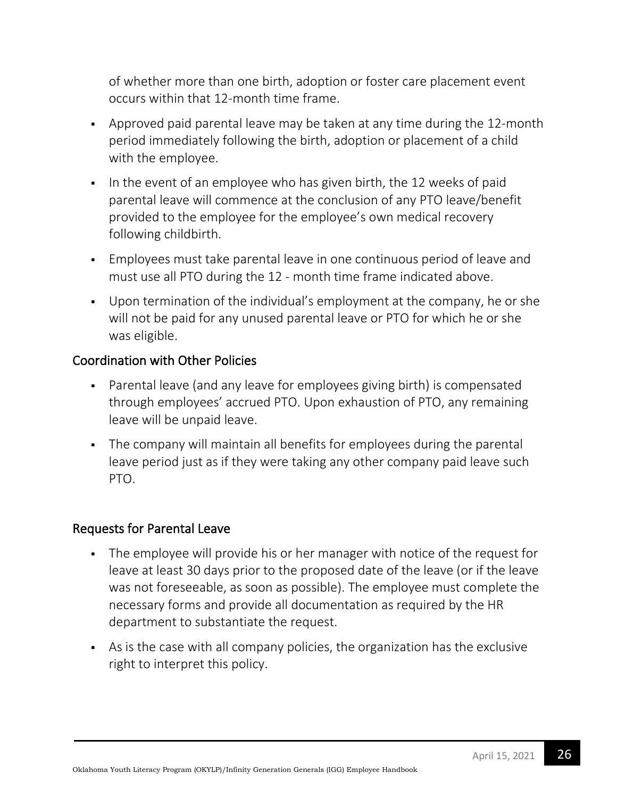of whether more than one birth, adoption or foster care placement event occurs within that 12-month time frame.

- Approved paid parental leave may be taken at any time during the 12-month period immediately following the birth, adoption or placement of a child with the employee.
- In the event of an employee who has given birth, the 12 weeks of paid parental leave will commence at the conclusion of any PTO leave/benefit provided to the employee for the employee's own medical recovery following childbirth.
- **Employees must take parental leave in one continuous period of leave and** must use all PTO during the 12 - month time frame indicated above.
- Upon termination of the individual's employment at the company, he or she will not be paid for any unused parental leave or PTO for which he or she was eligible.

## Coordination with Other Policies

- Parental leave (and any leave for employees giving birth) is compensated through employees' accrued PTO. Upon exhaustion of PTO, any remaining leave will be unpaid leave.
- The company will maintain all benefits for employees during the parental leave period just as if they were taking any other company paid leave such PTO.

### Requests for Parental Leave

- The employee will provide his or her manager with notice of the request for leave at least 30 days prior to the proposed date of the leave (or if the leave was not foreseeable, as soon as possible). The employee must complete the necessary forms and provide all documentation as required by the HR department to substantiate the request.
- **EXEL As is the case with all company policies, the organization has the exclusive** right to interpret this policy.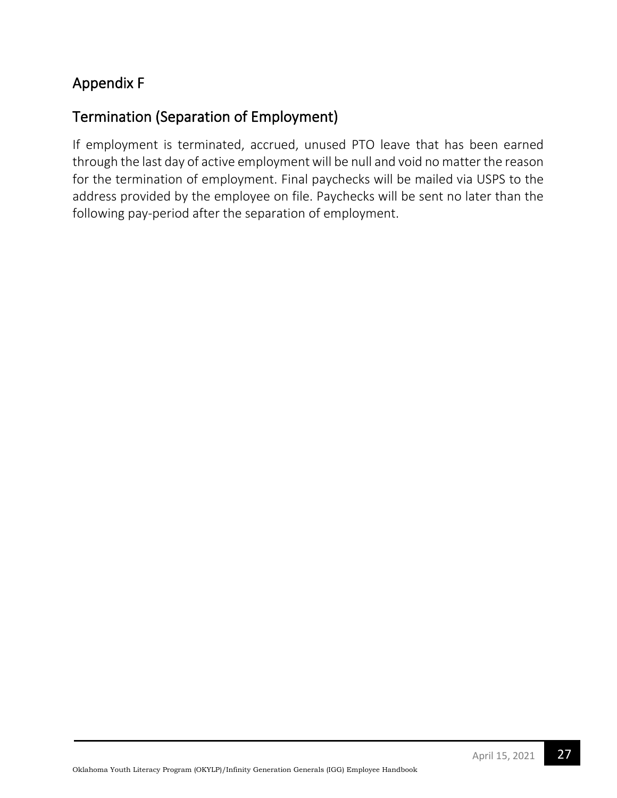# Appendix F

# Termination (Separation of Employment)

If employment is terminated, accrued, unused PTO leave that has been earned through the last day of active employment will be null and void no matter the reason for the termination of employment. Final paychecks will be mailed via USPS to the address provided by the employee on file. Paychecks will be sent no later than the following pay-period after the separation of employment.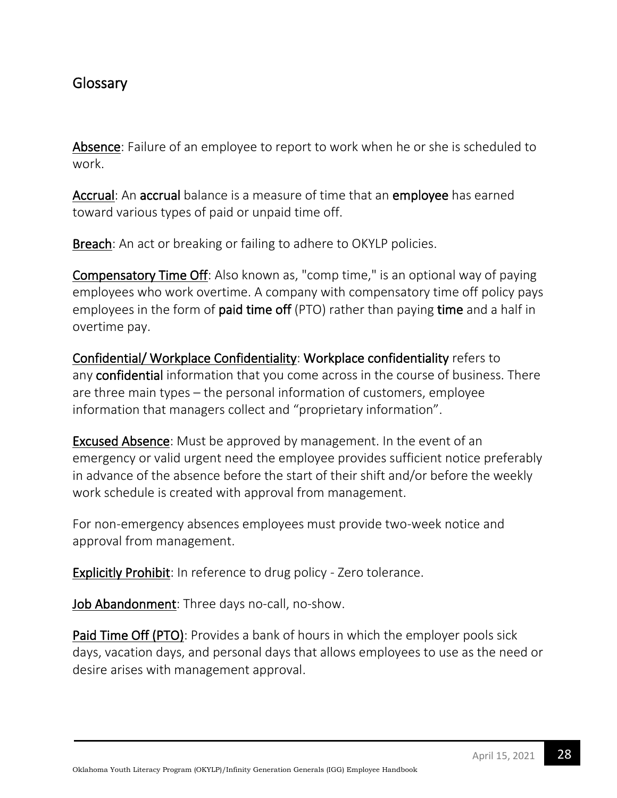## **Glossary**

Absence: Failure of an employee to report to work when he or she is scheduled to work.

Accrual: An accrual balance is a measure of time that an employee has earned toward various types of paid or unpaid time off.

Breach: An act or breaking or failing to adhere to OKYLP policies.

Compensatory Time Off: Also known as, "comp time," is an optional way of paying employees who work overtime. A company with compensatory time off policy pays employees in the form of **paid time off** (PTO) rather than paying **time** and a half in overtime pay.

Confidential/ Workplace Confidentiality: Workplace confidentiality refers to any confidential information that you come across in the course of business. There are three main types – the personal information of customers, employee information that managers collect and "proprietary information".

Excused Absence: Must be approved by management. In the event of an emergency or valid urgent need the employee provides sufficient notice preferably in advance of the absence before the start of their shift and/or before the weekly work schedule is created with approval from management.

For non-emergency absences employees must provide two-week notice and approval from management.

Explicitly Prohibit: In reference to drug policy - Zero tolerance.

Job Abandonment: Three days no-call, no-show.

Paid Time Off (PTO): Provides a bank of hours in which the employer pools sick days, vacation days, and personal days that allows employees to use as the need or desire arises with management approval.